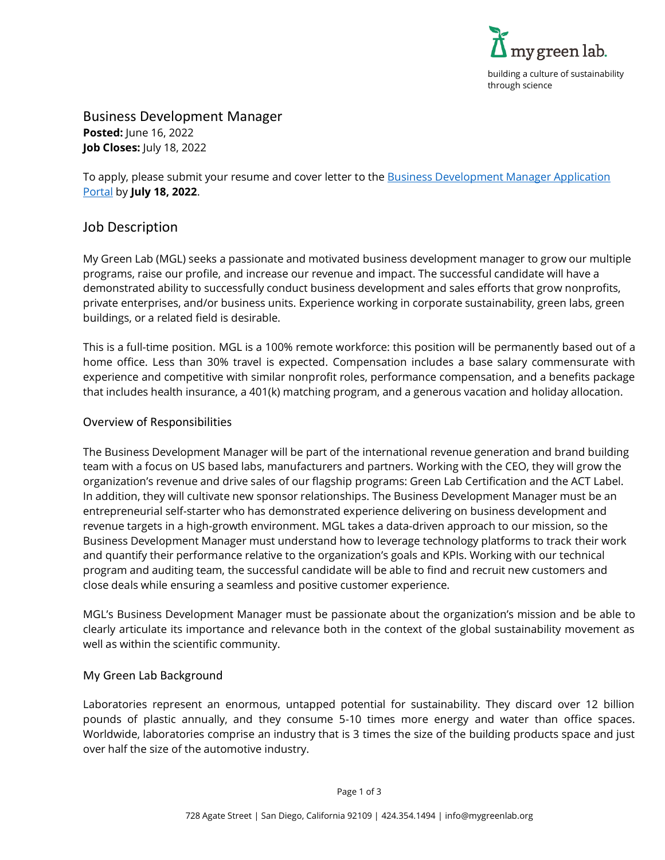

Business Development Manager **Posted:** June 16, 2022 **Job Closes:** July 18, 2022

To apply, please submit your resume and cover letter to the Business Development Manager Application [Portal](https://app.smartsheet.com/b/form/681569dda7814f8384b1cc989958d9bd) by **July 18, 2022**.

## Job Description

My Green Lab (MGL) seeks a passionate and motivated business development manager to grow our multiple programs, raise our profile, and increase our revenue and impact. The successful candidate will have a demonstrated ability to successfully conduct business development and sales efforts that grow nonprofits, private enterprises, and/or business units. Experience working in corporate sustainability, green labs, green buildings, or a related field is desirable.

This is a full-time position. MGL is a 100% remote workforce: this position will be permanently based out of a home office. Less than 30% travel is expected. Compensation includes a base salary commensurate with experience and competitive with similar nonprofit roles, performance compensation, and a benefits package that includes health insurance, a 401(k) matching program, and a generous vacation and holiday allocation.

## Overview of Responsibilities

The Business Development Manager will be part of the international revenue generation and brand building team with a focus on US based labs, manufacturers and partners. Working with the CEO, they will grow the organization's revenue and drive sales of our flagship programs: Green Lab Certification and the ACT Label. In addition, they will cultivate new sponsor relationships. The Business Development Manager must be an entrepreneurial self-starter who has demonstrated experience delivering on business development and revenue targets in a high-growth environment. MGL takes a data-driven approach to our mission, so the Business Development Manager must understand how to leverage technology platforms to track their work and quantify their performance relative to the organization's goals and KPIs. Working with our technical program and auditing team, the successful candidate will be able to find and recruit new customers and close deals while ensuring a seamless and positive customer experience.

MGL's Business Development Manager must be passionate about the organization's mission and be able to clearly articulate its importance and relevance both in the context of the global sustainability movement as well as within the scientific community.

#### My Green Lab Background

Laboratories represent an enormous, untapped potential for sustainability. They discard over 12 billion pounds of plastic annually, and they consume 5-10 times more energy and water than office spaces. Worldwide, laboratories comprise an industry that is 3 times the size of the building products space and just over half the size of the automotive industry.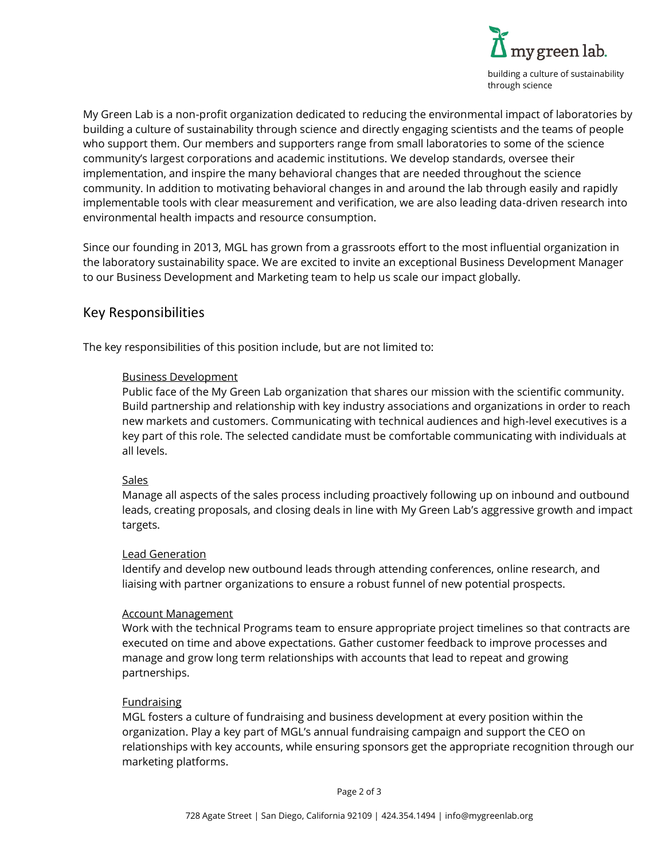

My Green Lab is a non-profit organization dedicated to reducing the environmental impact of laboratories by building a culture of sustainability through science and directly engaging scientists and the teams of people who support them. Our members and supporters range from small laboratories to some of the science community's largest corporations and academic institutions. We develop standards, oversee their implementation, and inspire the many behavioral changes that are needed throughout the science community. In addition to motivating behavioral changes in and around the lab through easily and rapidly implementable tools with clear measurement and verification, we are also leading data-driven research into environmental health impacts and resource consumption.

Since our founding in 2013, MGL has grown from a grassroots effort to the most influential organization in the laboratory sustainability space. We are excited to invite an exceptional Business Development Manager to our Business Development and Marketing team to help us scale our impact globally.

# Key Responsibilities

The key responsibilities of this position include, but are not limited to:

## Business Development

Public face of the My Green Lab organization that shares our mission with the scientific community. Build partnership and relationship with key industry associations and organizations in order to reach new markets and customers. Communicating with technical audiences and high-level executives is a key part of this role. The selected candidate must be comfortable communicating with individuals at all levels.

#### **Sales**

Manage all aspects of the sales process including proactively following up on inbound and outbound leads, creating proposals, and closing deals in line with My Green Lab's aggressive growth and impact targets.

#### Lead Generation

Identify and develop new outbound leads through attending conferences, online research, and liaising with partner organizations to ensure a robust funnel of new potential prospects.

#### Account Management

Work with the technical Programs team to ensure appropriate project timelines so that contracts are executed on time and above expectations. Gather customer feedback to improve processes and manage and grow long term relationships with accounts that lead to repeat and growing partnerships.

#### Fundraising

MGL fosters a culture of fundraising and business development at every position within the organization. Play a key part of MGL's annual fundraising campaign and support the CEO on relationships with key accounts, while ensuring sponsors get the appropriate recognition through our marketing platforms.

Page 2 of 3